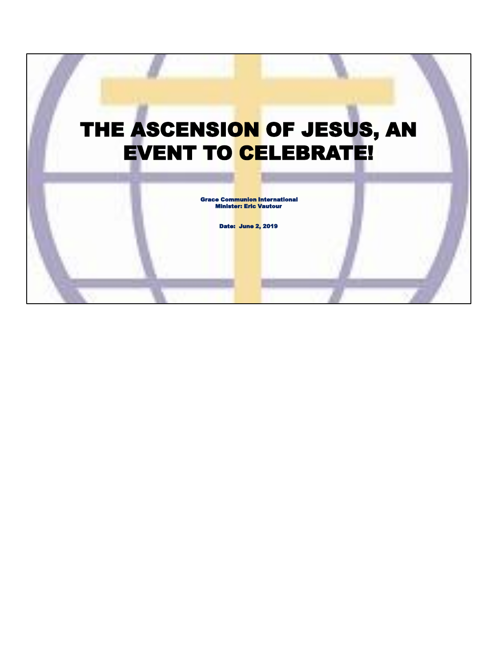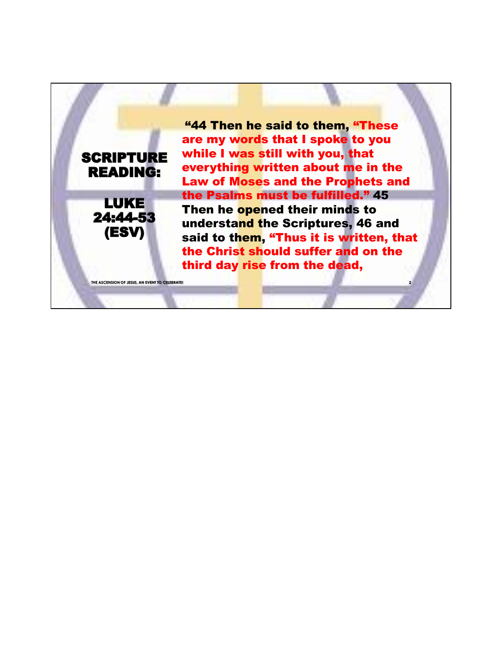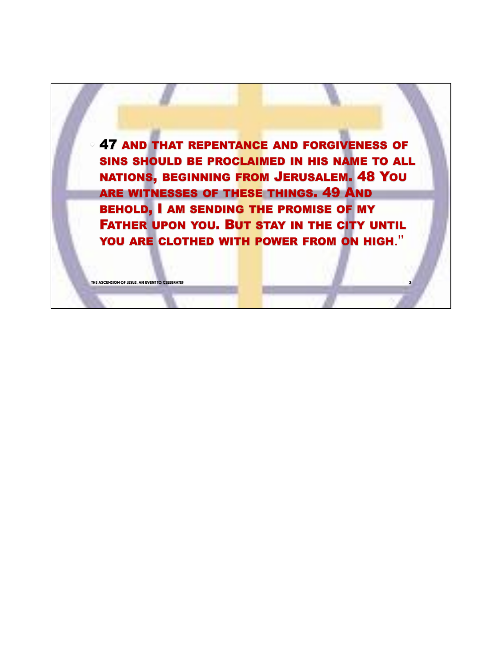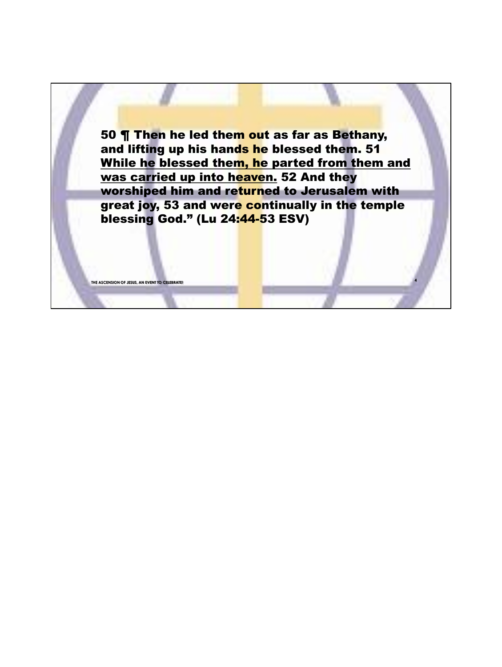50 ¶ Then he led them out as far as Bethany, and lifting up his hands he blessed them. 51 While he blessed them, he parted from them and was carried up into heaven. 52 And they worshiped him and returned to Jerusalem with great joy, 53 and were continually in the temple blessing God." (Lu 24:44-53 ESV)

**THE ASCENSION OF JESUS, AN EVENT TO CELEBI** 

**4**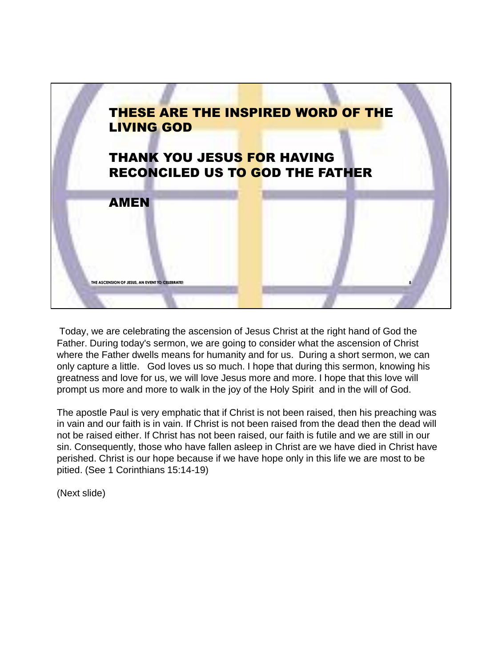

Today, we are celebrating the ascension of Jesus Christ at the right hand of God the Father. During today's sermon, we are going to consider what the ascension of Christ where the Father dwells means for humanity and for us. During a short sermon, we can only capture a little. God loves us so much. I hope that during this sermon, knowing his greatness and love for us, we will love Jesus more and more. I hope that this love will prompt us more and more to walk in the joy of the Holy Spirit and in the will of God.

The apostle Paul is very emphatic that if Christ is not been raised, then his preaching was in vain and our faith is in vain. If Christ is not been raised from the dead then the dead will not be raised either. If Christ has not been raised, our faith is futile and we are still in our sin. Consequently, those who have fallen asleep in Christ are we have died in Christ have perished. Christ is our hope because if we have hope only in this life we are most to be pitied. (See 1 Corinthians 15:14-19)

(Next slide)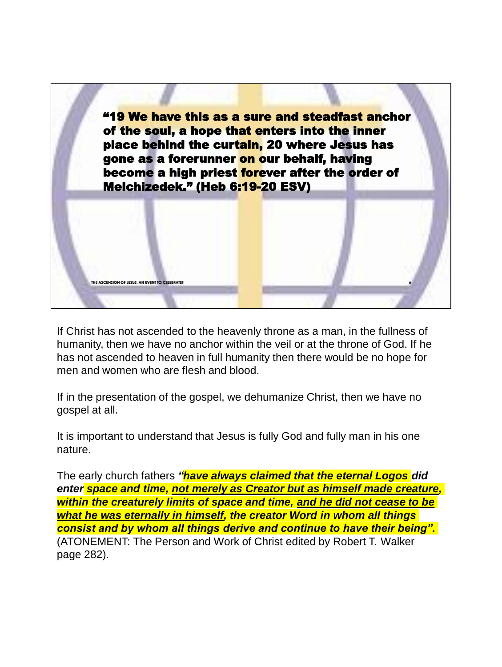

If Christ has not ascended to the heavenly throne as a man, in the fullness of humanity, then we have no anchor within the veil or at the throne of God. If he has not ascended to heaven in full humanity then there would be no hope for men and women who are flesh and blood.

If in the presentation of the gospel, we dehumanize Christ, then we have no gospel at all.

It is important to understand that Jesus is fully God and fully man in his one nature.

The early church fathers *"have always claimed that the eternal Logos did enter space and time, not merely as Creator but as himself made creature, within the creaturely limits of space and time, and he did not cease to be what he was eternally in himself, the creator Word in whom all things consist and by whom all things derive and continue to have their being".*  (ATONEMENT: The Person and Work of Christ edited by Robert T. Walker page 282).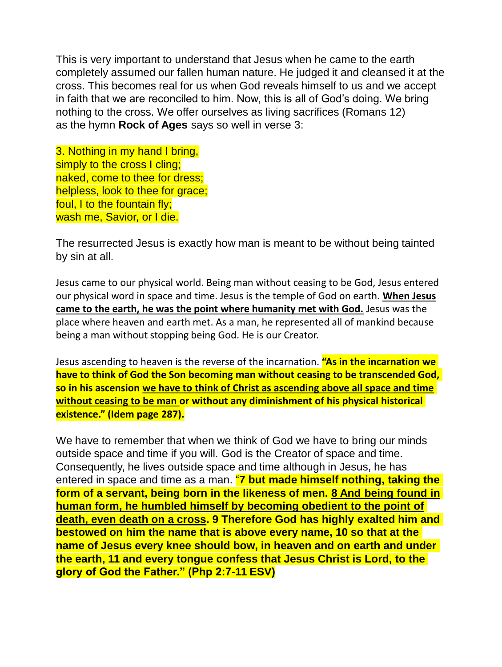This is very important to understand that Jesus when he came to the earth completely assumed our fallen human nature. He judged it and cleansed it at the cross. This becomes real for us when God reveals himself to us and we accept in faith that we are reconciled to him. Now, this is all of God's doing. We bring nothing to the cross. We offer ourselves as living sacrifices (Romans 12) as the hymn **Rock of Ages** says so well in verse 3:

3. Nothing in my hand I bring, simply to the cross I cling; naked, come to thee for dress; helpless, look to thee for grace; foul, I to the fountain fly; wash me, Savior, or I die.

The resurrected Jesus is exactly how man is meant to be without being tainted by sin at all.

Jesus came to our physical world. Being man without ceasing to be God, Jesus entered our physical word in space and time. Jesus is the temple of God on earth. **When Jesus came to the earth, he was the point where humanity met with God.** Jesus was the place where heaven and earth met. As a man, he represented all of mankind because being a man without stopping being God. He is our Creator.

Jesus ascending to heaven is the reverse of the incarnation. **"As in the incarnation we have to think of God the Son becoming man without ceasing to be transcended God, so in his ascension we have to think of Christ as ascending above all space and time without ceasing to be man or without any diminishment of his physical historical existence." (Idem page 287).**

We have to remember that when we think of God we have to bring our minds outside space and time if you will. God is the Creator of space and time. Consequently, he lives outside space and time although in Jesus, he has entered in space and time as a man. "**7 but made himself nothing, taking the form of a servant, being born in the likeness of men. 8 And being found in human form, he humbled himself by becoming obedient to the point of death, even death on a cross. 9 Therefore God has highly exalted him and bestowed on him the name that is above every name, 10 so that at the name of Jesus every knee should bow, in heaven and on earth and under the earth, 11 and every tongue confess that Jesus Christ is Lord, to the glory of God the Father." (Php 2:7-11 ESV)**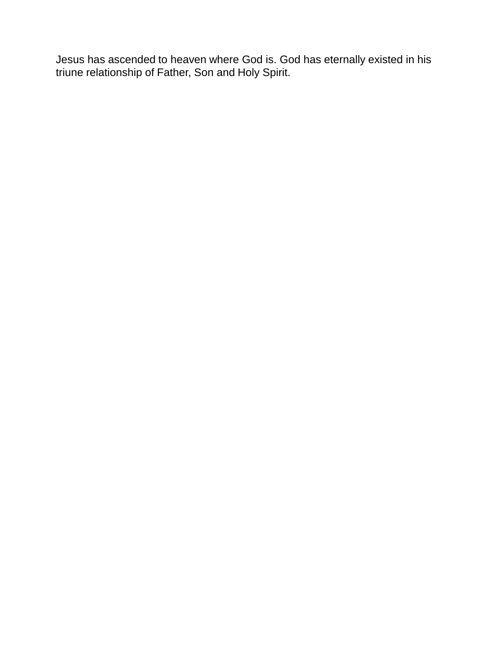Jesus has ascended to heaven where God is. God has eternally existed in his triune relationship of Father, Son and Holy Spirit.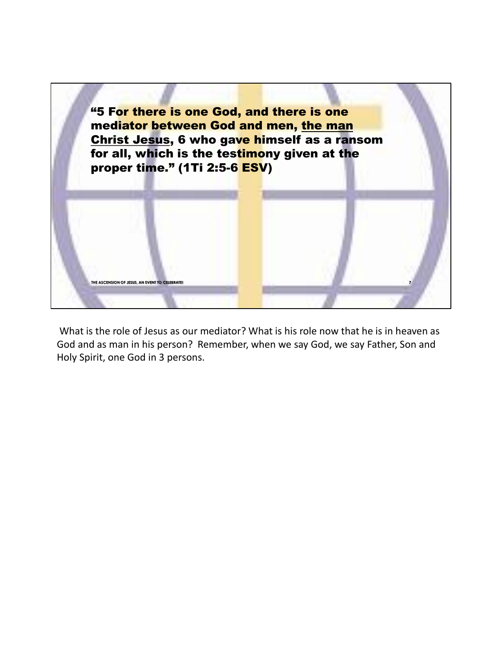

What is the role of Jesus as our mediator? What is his role now that he is in heaven as God and as man in his person? Remember, when we say God, we say Father, Son and Holy Spirit, one God in 3 persons.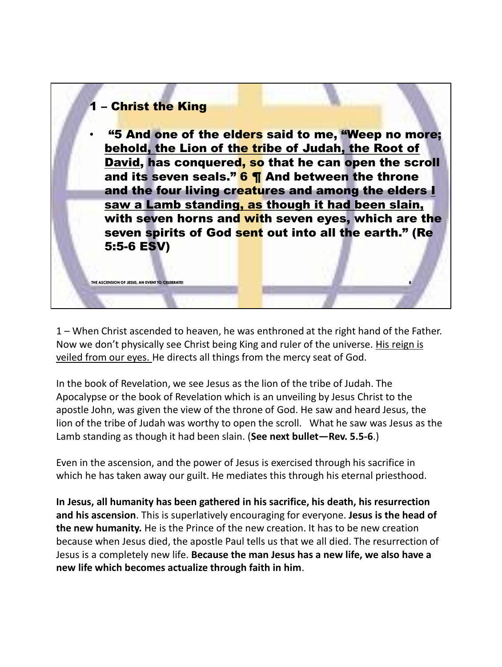

1 – When Christ ascended to heaven, he was enthroned at the right hand of the Father. Now we don't physically see Christ being King and ruler of the universe. His reign is veiled from our eyes. He directs all things from the mercy seat of God.

In the book of Revelation, we see Jesus as the lion of the tribe of Judah. The Apocalypse or the book of Revelation which is an unveiling by Jesus Christ to the apostle John, was given the view of the throne of God. He saw and heard Jesus, the lion of the tribe of Judah was worthy to open the scroll. What he saw was Jesus as the Lamb standing as though it had been slain. (**See next bullet—Rev. 5.5-6**.)

Even in the ascension, and the power of Jesus is exercised through his sacrifice in which he has taken away our guilt. He mediates this through his eternal priesthood.

**In Jesus, all humanity has been gathered in his sacrifice, his death, his resurrection and his ascension**. This is superlatively encouraging for everyone. **Jesus is the head of the new humanity.** He is the Prince of the new creation. It has to be new creation because when Jesus died, the apostle Paul tells us that we all died. The resurrection of Jesus is a completely new life. **Because the man Jesus has a new life, we also have a new life which becomes actualize through faith in him**.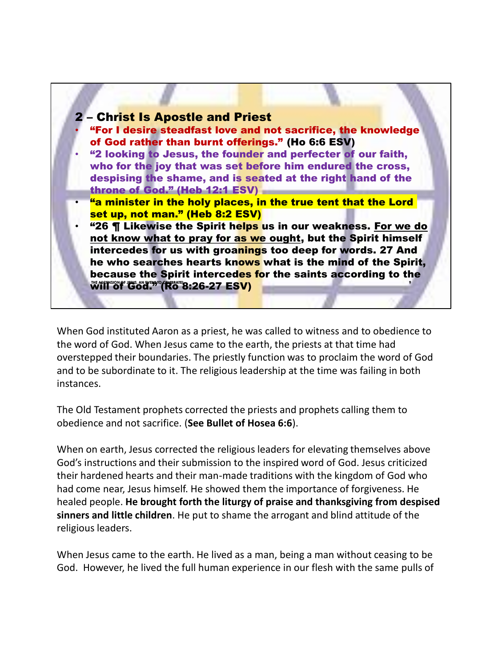

When God instituted Aaron as a priest, he was called to witness and to obedience to the word of God. When Jesus came to the earth, the priests at that time had overstepped their boundaries. The priestly function was to proclaim the word of God and to be subordinate to it. The religious leadership at the time was failing in both instances.

The Old Testament prophets corrected the priests and prophets calling them to obedience and not sacrifice. (**See Bullet of Hosea 6:6**).

When on earth, Jesus corrected the religious leaders for elevating themselves above God's instructions and their submission to the inspired word of God. Jesus criticized their hardened hearts and their man-made traditions with the kingdom of God who had come near, Jesus himself. He showed them the importance of forgiveness. He healed people. **He brought forth the liturgy of praise and thanksgiving from despised sinners and little children**. He put to shame the arrogant and blind attitude of the religious leaders.

When Jesus came to the earth. He lived as a man, being a man without ceasing to be God. However, he lived the full human experience in our flesh with the same pulls of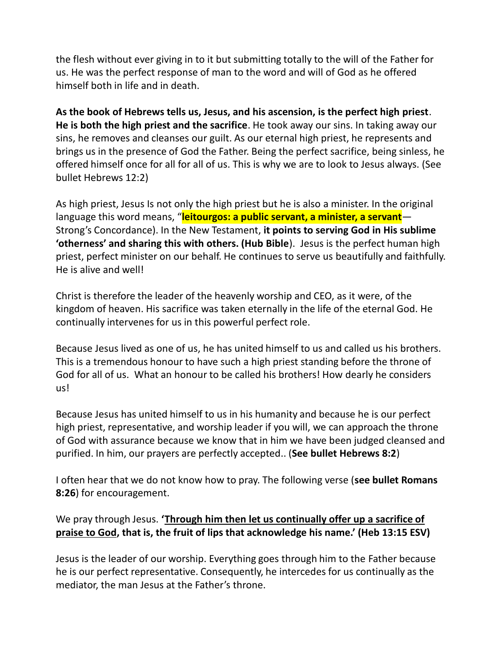the flesh without ever giving in to it but submitting totally to the will of the Father for us. He was the perfect response of man to the word and will of God as he offered himself both in life and in death.

**As the book of Hebrews tells us, Jesus, and his ascension, is the perfect high priest**. **He is both the high priest and the sacrifice**. He took away our sins. In taking away our sins, he removes and cleanses our guilt. As our eternal high priest, he represents and brings us in the presence of God the Father. Being the perfect sacrifice, being sinless, he offered himself once for all for all of us. This is why we are to look to Jesus always. (See bullet Hebrews 12:2)

As high priest, Jesus Is not only the high priest but he is also a minister. In the original language this word means, "**leitourgos: a public servant, a minister, a servant**— Strong's Concordance). In the New Testament, **it points to serving God in His sublime 'otherness' and sharing this with others. (Hub Bible**). Jesus is the perfect human high priest, perfect minister on our behalf. He continues to serve us beautifully and faithfully. He is alive and well!

Christ is therefore the leader of the heavenly worship and CEO, as it were, of the kingdom of heaven. His sacrifice was taken eternally in the life of the eternal God. He continually intervenes for us in this powerful perfect role.

Because Jesus lived as one of us, he has united himself to us and called us his brothers. This is a tremendous honour to have such a high priest standing before the throne of God for all of us. What an honour to be called his brothers! How dearly he considers us!

Because Jesus has united himself to us in his humanity and because he is our perfect high priest, representative, and worship leader if you will, we can approach the throne of God with assurance because we know that in him we have been judged cleansed and purified. In him, our prayers are perfectly accepted.. (**See bullet Hebrews 8:2**)

I often hear that we do not know how to pray. The following verse (**see bullet Romans 8:26**) for encouragement.

## We pray through Jesus. **'Through him then let us continually offer up a sacrifice of praise to God, that is, the fruit of lips that acknowledge his name.' (Heb 13:15 ESV)**

Jesus is the leader of our worship. Everything goes through him to the Father because he is our perfect representative. Consequently, he intercedes for us continually as the mediator, the man Jesus at the Father's throne.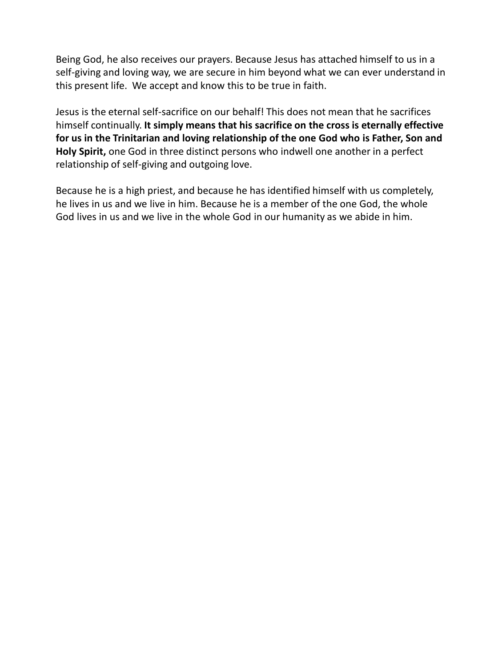Being God, he also receives our prayers. Because Jesus has attached himself to us in a self-giving and loving way, we are secure in him beyond what we can ever understand in this present life. We accept and know this to be true in faith.

Jesus is the eternal self-sacrifice on our behalf! This does not mean that he sacrifices himself continually. **It simply means that his sacrifice on the cross is eternally effective for us in the Trinitarian and loving relationship of the one God who is Father, Son and Holy Spirit,** one God in three distinct persons who indwell one another in a perfect relationship of self-giving and outgoing love.

Because he is a high priest, and because he has identified himself with us completely, he lives in us and we live in him. Because he is a member of the one God, the whole God lives in us and we live in the whole God in our humanity as we abide in him.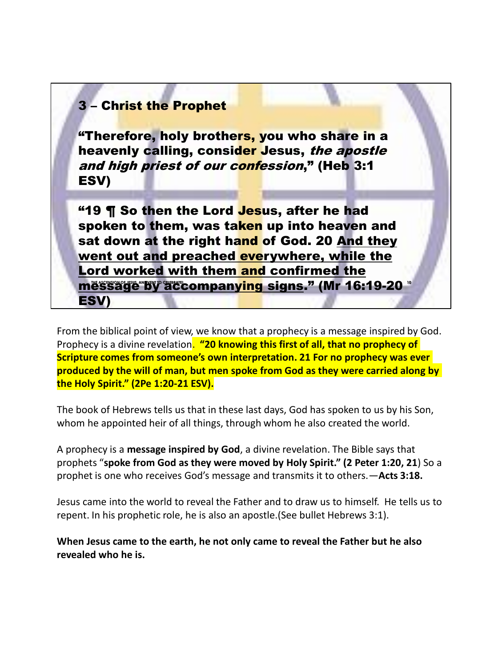## message by accompany<mark>ing signs</mark>." (Mr 16:19-20 " 3 – Christ the Prophet "Therefore, holy brothers, you who share in a heavenly calling, consider Jesus, the apostle and high priest of our confession," (Heb 3:1 ESV) **"19 ¶ So then the Lord Jesus, after he had** spoken to them, was taken up into heaven and sat down at the right hand of God. 20 And they went out and preached everywhere, while the Lord worked with them and confirmed the ESV)

From the biblical point of view, we know that a prophecy is a message inspired by God. Prophecy is a divine revelation. **"20 knowing this first of all, that no prophecy of Scripture comes from someone's own interpretation. 21 For no prophecy was ever produced by the will of man, but men spoke from God as they were carried along by the Holy Spirit." (2Pe 1:20-21 ESV).**

The book of Hebrews tells us that in these last days, God has spoken to us by his Son, whom he appointed heir of all things, through whom he also created the world.

A prophecy is a **message inspired by God**, a divine revelation. The Bible says that prophets "**spoke from God as they were moved by Holy Spirit." (2 Peter 1:20, 21**) So a prophet is one who receives God's message and transmits it to others.—**Acts 3:18.**

Jesus came into the world to reveal the Father and to draw us to himself. He tells us to repent. In his prophetic role, he is also an apostle.(See bullet Hebrews 3:1).

**When Jesus came to the earth, he not only came to reveal the Father but he also revealed who he is.**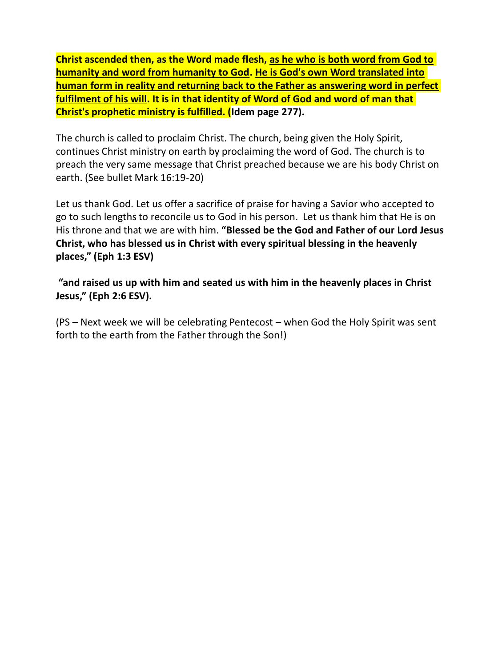**Christ ascended then, as the Word made flesh, as he who is both word from God to humanity and word from humanity to God. He is God's own Word translated into human form in reality and returning back to the Father as answering word in perfect fulfilment of his will. It is in that identity of Word of God and word of man that Christ's prophetic ministry is fulfilled. (Idem page 277).**

The church is called to proclaim Christ. The church, being given the Holy Spirit, continues Christ ministry on earth by proclaiming the word of God. The church is to preach the very same message that Christ preached because we are his body Christ on earth. (See bullet Mark 16:19-20)

Let us thank God. Let us offer a sacrifice of praise for having a Savior who accepted to go to such lengths to reconcile us to God in his person. Let us thank him that He is on His throne and that we are with him. **"Blessed be the God and Father of our Lord Jesus Christ, who has blessed us in Christ with every spiritual blessing in the heavenly places," (Eph 1:3 ESV)**

**"and raised us up with him and seated us with him in the heavenly places in Christ Jesus," (Eph 2:6 ESV).**

(PS – Next week we will be celebrating Pentecost – when God the Holy Spirit was sent forth to the earth from the Father through the Son!)